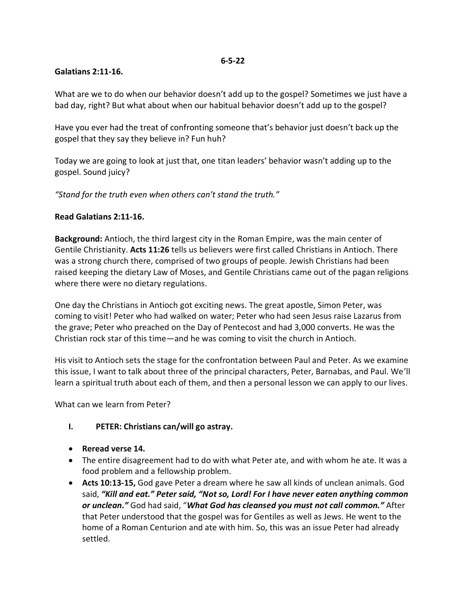#### **6-5-22**

### **Galatians 2:11-16.**

What are we to do when our behavior doesn't add up to the gospel? Sometimes we just have a bad day, right? But what about when our habitual behavior doesn't add up to the gospel?

Have you ever had the treat of confronting someone that's behavior just doesn't back up the gospel that they say they believe in? Fun huh?

Today we are going to look at just that, one titan leaders' behavior wasn't adding up to the gospel. Sound juicy?

*"Stand for the truth even when others can't stand the truth."*

### **Read Galatians 2:11-16.**

**Background:** Antioch, the third largest city in the Roman Empire, was the main center of Gentile Christianity. **Acts 11:26** tells us believers were first called Christians in Antioch. There was a strong church there, comprised of two groups of people. Jewish Christians had been raised keeping the dietary Law of Moses, and Gentile Christians came out of the pagan religions where there were no dietary regulations.

One day the Christians in Antioch got exciting news. The great apostle, Simon Peter, was coming to visit! Peter who had walked on water; Peter who had seen Jesus raise Lazarus from the grave; Peter who preached on the Day of Pentecost and had 3,000 converts. He was the Christian rock star of this time—and he was coming to visit the church in Antioch.

His visit to Antioch sets the stage for the confrontation between Paul and Peter. As we examine this issue, I want to talk about three of the principal characters, Peter, Barnabas, and Paul. We'll learn a spiritual truth about each of them, and then a personal lesson we can apply to our lives.

What can we learn from Peter?

# **I. PETER: Christians can/will go astray.**

- **Reread verse 14.**
- The entire disagreement had to do with what Peter ate, and with whom he ate. It was a food problem and a fellowship problem.
- **Acts 10:13-15,** God gave Peter a dream where he saw all kinds of unclean animals. God said, *"Kill and eat." Peter said, "Not so, Lord! For I have never eaten anything common or unclean."* God had said, "*What God has cleansed you must not call common."* After that Peter understood that the gospel was for Gentiles as well as Jews. He went to the home of a Roman Centurion and ate with him. So, this was an issue Peter had already settled.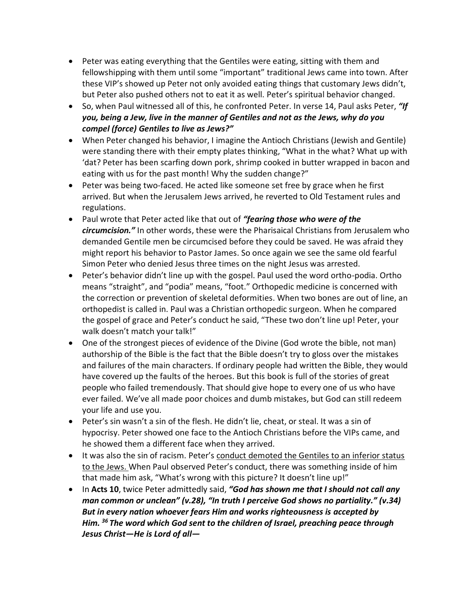- Peter was eating everything that the Gentiles were eating, sitting with them and fellowshipping with them until some "important" traditional Jews came into town. After these VIP's showed up Peter not only avoided eating things that customary Jews didn't, but Peter also pushed others not to eat it as well. Peter's spiritual behavior changed.
- So, when Paul witnessed all of this, he confronted Peter. In verse 14, Paul asks Peter, *"If you, being a Jew, live in the manner of Gentiles and not as the Jews, why do you compel (force) Gentiles to live as Jews?"*
- When Peter changed his behavior, I imagine the Antioch Christians (Jewish and Gentile) were standing there with their empty plates thinking, "What in the what? What up with 'dat? Peter has been scarfing down pork, shrimp cooked in butter wrapped in bacon and eating with us for the past month! Why the sudden change?"
- Peter was being two-faced. He acted like someone set free by grace when he first arrived. But when the Jerusalem Jews arrived, he reverted to Old Testament rules and regulations.
- Paul wrote that Peter acted like that out of *"fearing those who were of the circumcision."* In other words, these were the Pharisaical Christians from Jerusalem who demanded Gentile men be circumcised before they could be saved. He was afraid they might report his behavior to Pastor James. So once again we see the same old fearful Simon Peter who denied Jesus three times on the night Jesus was arrested.
- Peter's behavior didn't line up with the gospel. Paul used the word ortho-podia. Ortho means "straight", and "podia" means, "foot." Orthopedic medicine is concerned with the correction or prevention of skeletal deformities. When two bones are out of line, an orthopedist is called in. Paul was a Christian orthopedic surgeon. When he compared the gospel of grace and Peter's conduct he said, "These two don't line up! Peter, your walk doesn't match your talk!"
- One of the strongest pieces of evidence of the Divine (God wrote the bible, not man) authorship of the Bible is the fact that the Bible doesn't try to gloss over the mistakes and failures of the main characters. If ordinary people had written the Bible, they would have covered up the faults of the heroes. But this book is full of the stories of great people who failed tremendously. That should give hope to every one of us who have ever failed. We've all made poor choices and dumb mistakes, but God can still redeem your life and use you.
- Peter's sin wasn't a sin of the flesh. He didn't lie, cheat, or steal. It was a sin of hypocrisy. Peter showed one face to the Antioch Christians before the VIPs came, and he showed them a different face when they arrived.
- It was also the sin of racism. Peter's conduct demoted the Gentiles to an inferior status to the Jews. When Paul observed Peter's conduct, there was something inside of him that made him ask, "What's wrong with this picture? It doesn't line up!"
- In Acts 10, twice Peter admittedly said, "God has shown me that I should not call any *man common or unclean" (v.28), "In truth I perceive God shows no partiality." (v.34) But in every nation whoever fears Him and works righteousness is accepted by Him. <sup>36</sup> The word which God sent to the children of Israel, preaching peace through Jesus Christ—He is Lord of all—*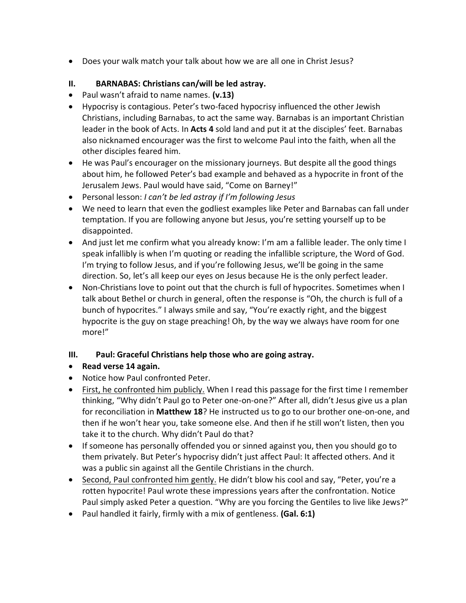Does your walk match your talk about how we are all one in Christ Jesus?

# **II. BARNABAS: Christians can/will be led astray.**

- Paul wasn't afraid to name names. **(v.13)**
- Hypocrisy is contagious. Peter's two-faced hypocrisy influenced the other Jewish Christians, including Barnabas, to act the same way. Barnabas is an important Christian leader in the book of Acts. In **Acts 4** sold land and put it at the disciples' feet. Barnabas also nicknamed encourager was the first to welcome Paul into the faith, when all the other disciples feared him.
- He was Paul's encourager on the missionary journeys. But despite all the good things about him, he followed Peter's bad example and behaved as a hypocrite in front of the Jerusalem Jews. Paul would have said, "Come on Barney!"
- Personal lesson: *I can't be led astray if I'm following Jesus*
- We need to learn that even the godliest examples like Peter and Barnabas can fall under temptation. If you are following anyone but Jesus, you're setting yourself up to be disappointed.
- And just let me confirm what you already know: I'm am a fallible leader. The only time I speak infallibly is when I'm quoting or reading the infallible scripture, the Word of God. I'm trying to follow Jesus, and if you're following Jesus, we'll be going in the same direction. So, let's all keep our eyes on Jesus because He is the only perfect leader.
- Non-Christians love to point out that the church is full of hypocrites. Sometimes when I talk about Bethel or church in general, often the response is "Oh, the church is full of a bunch of hypocrites." I always smile and say, "You're exactly right, and the biggest hypocrite is the guy on stage preaching! Oh, by the way we always have room for one more!"

# **III. Paul: Graceful Christians help those who are going astray.**

- **Read verse 14 again.**
- Notice how Paul confronted Peter.
- First, he confronted him publicly. When I read this passage for the first time I remember thinking, "Why didn't Paul go to Peter one-on-one?" After all, didn't Jesus give us a plan for reconciliation in **Matthew 18**? He instructed us to go to our brother one-on-one, and then if he won't hear you, take someone else. And then if he still won't listen, then you take it to the church. Why didn't Paul do that?
- If someone has personally offended you or sinned against you, then you should go to them privately. But Peter's hypocrisy didn't just affect Paul: It affected others. And it was a public sin against all the Gentile Christians in the church.
- Second, Paul confronted him gently. He didn't blow his cool and say, "Peter, you're a rotten hypocrite! Paul wrote these impressions years after the confrontation. Notice Paul simply asked Peter a question. "Why are you forcing the Gentiles to live like Jews?"
- Paul handled it fairly, firmly with a mix of gentleness. **(Gal. 6:1)**